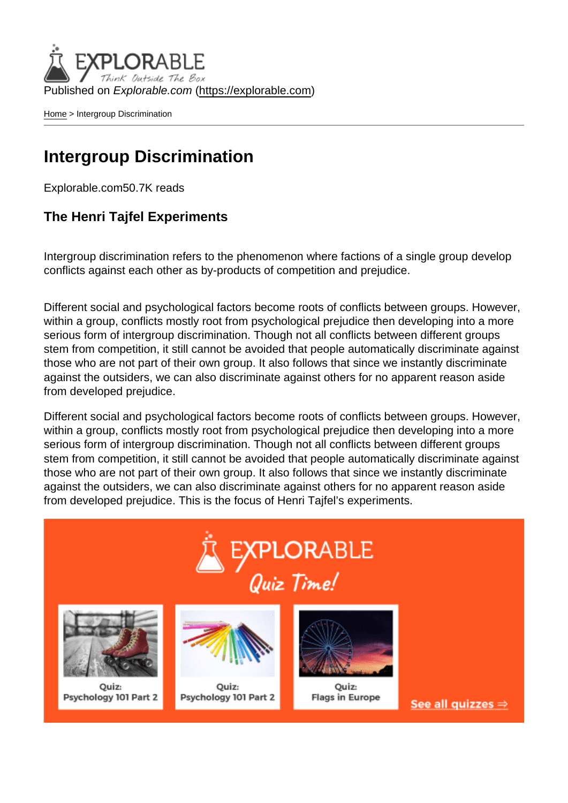Published on Explorable.com (<https://explorable.com>)

[Home](https://explorable.com/) > Intergroup Discrimination

#### Intergroup Discrimination

Explorable.com50.7K reads

The Henri Tajfel Experiments

Intergroup discrimination refers to the phenomenon where factions of a single group develop conflicts against each other as by-products of competition and prejudice.

Different social and psychological factors become roots of conflicts between groups. However, within a group, conflicts mostly root from psychological prejudice then developing into a more serious form of intergroup discrimination. Though not all conflicts between different groups stem from competition, it still cannot be avoided that people automatically discriminate against those who are not part of their own group. It also follows that since we instantly discriminate against the outsiders, we can also discriminate against others for no apparent reason aside from developed prejudice.

Different social and psychological factors become roots of conflicts between groups. However, within a group, conflicts mostly root from psychological prejudice then developing into a more serious form of intergroup discrimination. Though not all conflicts between different groups stem from competition, it still cannot be avoided that people automatically discriminate against those who are not part of their own group. It also follows that since we instantly discriminate against the outsiders, we can also discriminate against others for no apparent reason aside from developed prejudice. This is the focus of Henri Tajfel's experiments.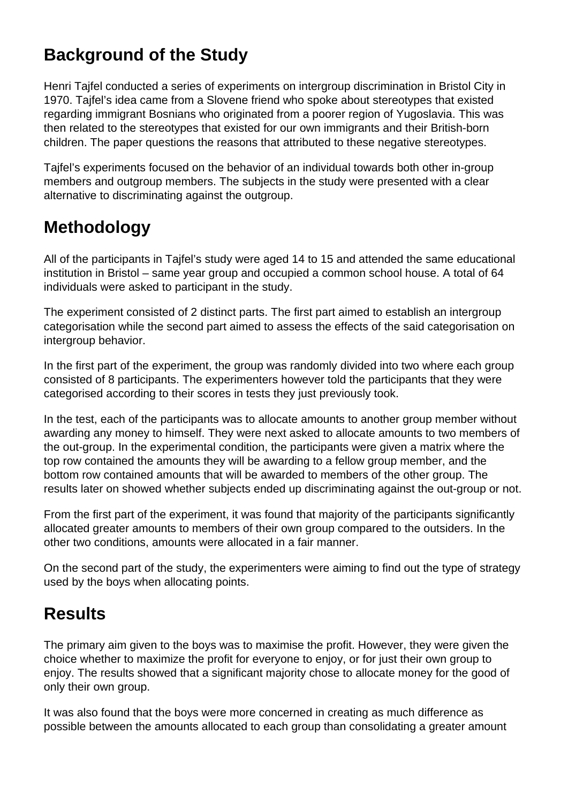# **Background of the Study**

Henri Tajfel conducted a series of experiments on intergroup discrimination in Bristol City in 1970. Tajfel's idea came from a Slovene friend who spoke about stereotypes that existed regarding immigrant Bosnians who originated from a poorer region of Yugoslavia. This was then related to the stereotypes that existed for our own immigrants and their British-born children. The paper questions the reasons that attributed to these negative stereotypes.

Tajfel's experiments focused on the behavior of an individual towards both other in-group members and outgroup members. The subjects in the study were presented with a clear alternative to discriminating against the outgroup.

### **Methodology**

All of the participants in Tajfel's study were aged 14 to 15 and attended the same educational institution in Bristol – same year group and occupied a common school house. A total of 64 individuals were asked to participant in the study.

The experiment consisted of 2 distinct parts. The first part aimed to establish an intergroup categorisation while the second part aimed to assess the effects of the said categorisation on intergroup behavior.

In the first part of the experiment, the group was randomly divided into two where each group consisted of 8 participants. The experimenters however told the participants that they were categorised according to their scores in tests they just previously took.

In the test, each of the participants was to allocate amounts to another group member without awarding any money to himself. They were next asked to allocate amounts to two members of the out-group. In the experimental condition, the participants were given a matrix where the top row contained the amounts they will be awarding to a fellow group member, and the bottom row contained amounts that will be awarded to members of the other group. The results later on showed whether subjects ended up discriminating against the out-group or not.

From the first part of the experiment, it was found that majority of the participants significantly allocated greater amounts to members of their own group compared to the outsiders. In the other two conditions, amounts were allocated in a fair manner.

On the second part of the study, the experimenters were aiming to find out the type of strategy used by the boys when allocating points.

### **Results**

The primary aim given to the boys was to maximise the profit. However, they were given the choice whether to maximize the profit for everyone to enjoy, or for just their own group to enjoy. The results showed that a significant majority chose to allocate money for the good of only their own group.

It was also found that the boys were more concerned in creating as much difference as possible between the amounts allocated to each group than consolidating a greater amount